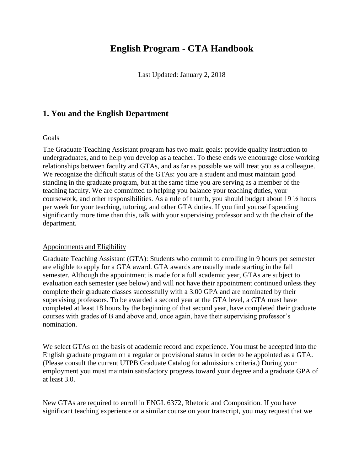# **English Program - GTA Handbook**

Last Updated: January 2, 2018

## **1. You and the English Department**

### Goals

The Graduate Teaching Assistant program has two main goals: provide quality instruction to undergraduates, and to help you develop as a teacher. To these ends we encourage close working relationships between faculty and GTAs, and as far as possible we will treat you as a colleague. We recognize the difficult status of the GTAs: you are a student and must maintain good standing in the graduate program, but at the same time you are serving as a member of the teaching faculty. We are committed to helping you balance your teaching duties, your coursework, and other responsibilities. As a rule of thumb, you should budget about  $19\frac{1}{2}$  hours per week for your teaching, tutoring, and other GTA duties. If you find yourself spending significantly more time than this, talk with your supervising professor and with the chair of the department.

### Appointments and Eligibility

Graduate Teaching Assistant (GTA): Students who commit to enrolling in 9 hours per semester are eligible to apply for a GTA award. GTA awards are usually made starting in the fall semester. Although the appointment is made for a full academic year, GTAs are subject to evaluation each semester (see below) and will not have their appointment continued unless they complete their graduate classes successfully with a 3.00 GPA and are nominated by their supervising professors. To be awarded a second year at the GTA level, a GTA must have completed at least 18 hours by the beginning of that second year, have completed their graduate courses with grades of B and above and, once again, have their supervising professor's nomination.

We select GTAs on the basis of academic record and experience. You must be accepted into the English graduate program on a regular or provisional status in order to be appointed as a GTA. (Please consult the current UTPB Graduate Catalog for admissions criteria.) During your employment you must maintain satisfactory progress toward your degree and a graduate GPA of at least 3.0.

New GTAs are required to enroll in ENGL 6372, Rhetoric and Composition. If you have significant teaching experience or a similar course on your transcript, you may request that we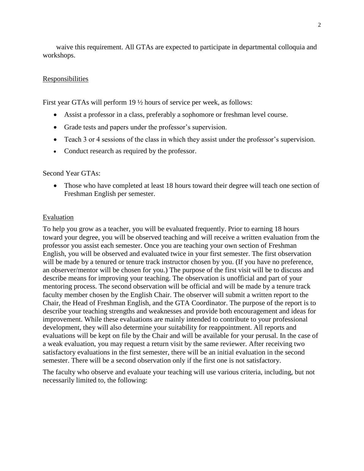waive this requirement. All GTAs are expected to participate in departmental colloquia and workshops.

### Responsibilities

First year GTAs will perform 19 ½ hours of service per week, as follows:

- Assist a professor in a class, preferably a sophomore or freshman level course.
- Grade tests and papers under the professor's supervision.
- Teach 3 or 4 sessions of the class in which they assist under the professor's supervision.
- Conduct research as required by the professor.

### Second Year GTAs:

• Those who have completed at least 18 hours toward their degree will teach one section of Freshman English per semester.

#### Evaluation

To help you grow as a teacher, you will be evaluated frequently. Prior to earning 18 hours toward your degree, you will be observed teaching and will receive a written evaluation from the professor you assist each semester. Once you are teaching your own section of Freshman English, you will be observed and evaluated twice in your first semester. The first observation will be made by a tenured or tenure track instructor chosen by you. (If you have no preference, an observer/mentor will be chosen for you.) The purpose of the first visit will be to discuss and describe means for improving your teaching. The observation is unofficial and part of your mentoring process. The second observation will be official and will be made by a tenure track faculty member chosen by the English Chair. The observer will submit a written report to the Chair, the Head of Freshman English, and the GTA Coordinator. The purpose of the report is to describe your teaching strengths and weaknesses and provide both encouragement and ideas for improvement. While these evaluations are mainly intended to contribute to your professional development, they will also determine your suitability for reappointment. All reports and evaluations will be kept on file by the Chair and will be available for your perusal. In the case of a weak evaluation, you may request a return visit by the same reviewer. After receiving two satisfactory evaluations in the first semester, there will be an initial evaluation in the second semester. There will be a second observation only if the first one is not satisfactory.

The faculty who observe and evaluate your teaching will use various criteria, including, but not necessarily limited to, the following: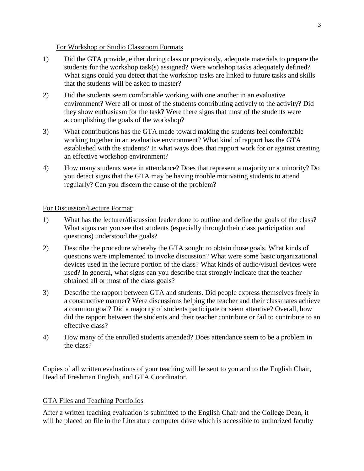### For Workshop or Studio Classroom Formats

- 1) Did the GTA provide, either during class or previously, adequate materials to prepare the students for the workshop task(s) assigned? Were workshop tasks adequately defined? What signs could you detect that the workshop tasks are linked to future tasks and skills that the students will be asked to master?
- 2) Did the students seem comfortable working with one another in an evaluative environment? Were all or most of the students contributing actively to the activity? Did they show enthusiasm for the task? Were there signs that most of the students were accomplishing the goals of the workshop?
- 3) What contributions has the GTA made toward making the students feel comfortable working together in an evaluative environment? What kind of rapport has the GTA established with the students? In what ways does that rapport work for or against creating an effective workshop environment?
- 4) How many students were in attendance? Does that represent a majority or a minority? Do you detect signs that the GTA may be having trouble motivating students to attend regularly? Can you discern the cause of the problem?

### For Discussion/Lecture Format:

- 1) What has the lecturer/discussion leader done to outline and define the goals of the class? What signs can you see that students (especially through their class participation and questions) understood the goals?
- 2) Describe the procedure whereby the GTA sought to obtain those goals. What kinds of questions were implemented to invoke discussion? What were some basic organizational devices used in the lecture portion of the class? What kinds of audio/visual devices were used? In general, what signs can you describe that strongly indicate that the teacher obtained all or most of the class goals?
- 3) Describe the rapport between GTA and students. Did people express themselves freely in a constructive manner? Were discussions helping the teacher and their classmates achieve a common goal? Did a majority of students participate or seem attentive? Overall, how did the rapport between the students and their teacher contribute or fail to contribute to an effective class?
- 4) How many of the enrolled students attended? Does attendance seem to be a problem in the class?

Copies of all written evaluations of your teaching will be sent to you and to the English Chair, Head of Freshman English, and GTA Coordinator.

### GTA Files and Teaching Portfolios

After a written teaching evaluation is submitted to the English Chair and the College Dean, it will be placed on file in the Literature computer drive which is accessible to authorized faculty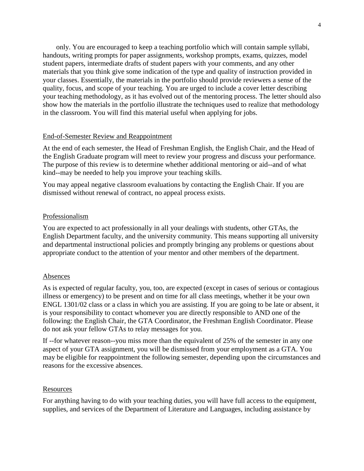only. You are encouraged to keep a teaching portfolio which will contain sample syllabi, handouts, writing prompts for paper assignments, workshop prompts, exams, quizzes, model student papers, intermediate drafts of student papers with your comments, and any other materials that you think give some indication of the type and quality of instruction provided in your classes. Essentially, the materials in the portfolio should provide reviewers a sense of the quality, focus, and scope of your teaching. You are urged to include a cover letter describing your teaching methodology, as it has evolved out of the mentoring process. The letter should also show how the materials in the portfolio illustrate the techniques used to realize that methodology in the classroom. You will find this material useful when applying for jobs.

#### End-of-Semester Review and Reappointment

At the end of each semester, the Head of Freshman English, the English Chair, and the Head of the English Graduate program will meet to review your progress and discuss your performance. The purpose of this review is to determine whether additional mentoring or aid--and of what kind--may be needed to help you improve your teaching skills.

You may appeal negative classroom evaluations by contacting the English Chair. If you are dismissed without renewal of contract, no appeal process exists.

### Professionalism

You are expected to act professionally in all your dealings with students, other GTAs, the English Department faculty, and the university community. This means supporting all university and departmental instructional policies and promptly bringing any problems or questions about appropriate conduct to the attention of your mentor and other members of the department.

#### Absences

As is expected of regular faculty, you, too, are expected (except in cases of serious or contagious illness or emergency) to be present and on time for all class meetings, whether it be your own ENGL 1301/02 class or a class in which you are assisting. If you are going to be late or absent, it is your responsibility to contact whomever you are directly responsible to AND one of the following: the English Chair, the GTA Coordinator, the Freshman English Coordinator. Please do not ask your fellow GTAs to relay messages for you.

If --for whatever reason--you miss more than the equivalent of 25% of the semester in any one aspect of your GTA assignment, you will be dismissed from your employment as a GTA. You may be eligible for reappointment the following semester, depending upon the circumstances and reasons for the excessive absences.

#### Resources

For anything having to do with your teaching duties, you will have full access to the equipment, supplies, and services of the Department of Literature and Languages, including assistance by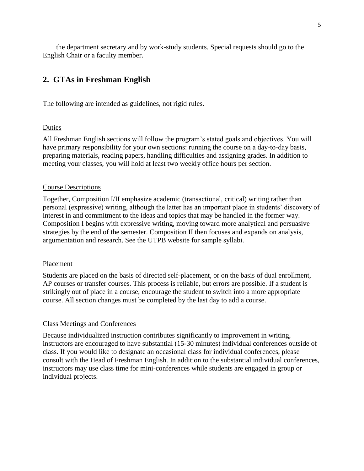the department secretary and by work-study students. Special requests should go to the English Chair or a faculty member.

### **2. GTAs in Freshman English**

The following are intended as guidelines, not rigid rules.

### Duties

All Freshman English sections will follow the program's stated goals and objectives. You will have primary responsibility for your own sections: running the course on a day-to-day basis, preparing materials, reading papers, handling difficulties and assigning grades. In addition to meeting your classes, you will hold at least two weekly office hours per section.

### Course Descriptions

Together, Composition I/II emphasize academic (transactional, critical) writing rather than personal (expressive) writing, although the latter has an important place in students' discovery of interest in and commitment to the ideas and topics that may be handled in the former way. Composition I begins with expressive writing, moving toward more analytical and persuasive strategies by the end of the semester. Composition II then focuses and expands on analysis, argumentation and research. See the UTPB website for sample syllabi.

#### Placement

Students are placed on the basis of directed self-placement, or on the basis of dual enrollment, AP courses or transfer courses. This process is reliable, but errors are possible. If a student is strikingly out of place in a course, encourage the student to switch into a more appropriate course. All section changes must be completed by the last day to add a course.

#### Class Meetings and Conferences

Because individualized instruction contributes significantly to improvement in writing, instructors are encouraged to have substantial (15-30 minutes) individual conferences outside of class. If you would like to designate an occasional class for individual conferences, please consult with the Head of Freshman English. In addition to the substantial individual conferences, instructors may use class time for mini-conferences while students are engaged in group or individual projects.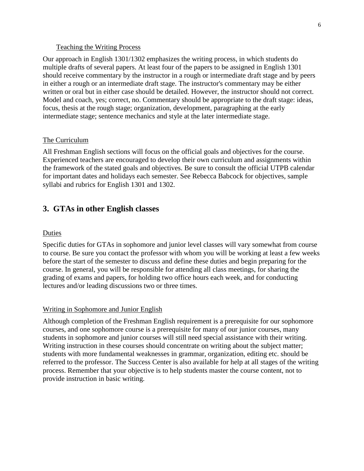### Teaching the Writing Process

Our approach in English 1301/1302 emphasizes the writing process, in which students do multiple drafts of several papers. At least four of the papers to be assigned in English 1301 should receive commentary by the instructor in a rough or intermediate draft stage and by peers in either a rough or an intermediate draft stage. The instructor's commentary may be either written or oral but in either case should be detailed. However, the instructor should not correct. Model and coach, yes; correct, no. Commentary should be appropriate to the draft stage: ideas, focus, thesis at the rough stage; organization, development, paragraphing at the early intermediate stage; sentence mechanics and style at the later intermediate stage.

### The Curriculum

All Freshman English sections will focus on the official goals and objectives for the course. Experienced teachers are encouraged to develop their own curriculum and assignments within the framework of the stated goals and objectives. Be sure to consult the official UTPB calendar for important dates and holidays each semester. See Rebecca Babcock for objectives, sample syllabi and rubrics for English 1301 and 1302.

### **3. GTAs in other English classes**

### Duties

Specific duties for GTAs in sophomore and junior level classes will vary somewhat from course to course. Be sure you contact the professor with whom you will be working at least a few weeks before the start of the semester to discuss and define these duties and begin preparing for the course. In general, you will be responsible for attending all class meetings, for sharing the grading of exams and papers, for holding two office hours each week, and for conducting lectures and/or leading discussions two or three times.

#### Writing in Sophomore and Junior English

Although completion of the Freshman English requirement is a prerequisite for our sophomore courses, and one sophomore course is a prerequisite for many of our junior courses, many students in sophomore and junior courses will still need special assistance with their writing. Writing instruction in these courses should concentrate on writing about the subject matter; students with more fundamental weaknesses in grammar, organization, editing etc. should be referred to the professor. The Success Center is also available for help at all stages of the writing process. Remember that your objective is to help students master the course content, not to provide instruction in basic writing.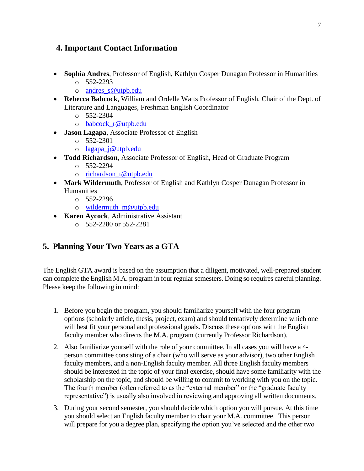## **4. Important Contact Information**

- **Sophia Andres**, Professor of English, Kathlyn Cosper Dunagan Professor in Humanities  $0.552 - 2293$ 
	- o [andres\\_s@utpb.edu](mailto:andres_s@utpb.edu)
- **Rebecca Babcock**, William and Ordelle Watts Professor of English, Chair of the Dept. of Literature and Languages, Freshman English Coordinator
	- $0.552 2304$
	- o [babcock\\_r@utpb.edu](mailto:babcock_r@utpb.edu)
- **Jason Lagapa**, Associate Professor of English
	- o 552-2301
	- o [lagapa\\_j@utpb.edu](mailto:lagapa_j@utpb.edu)
- **Todd Richardson**, Associate Professor of English, Head of Graduate Program
	- o 552-2294
	- o [richardson\\_t@utpb.edu](mailto:richardson_t@utpb.edu)
- **Mark Wildermuth**, Professor of English and Kathlyn Cosper Dunagan Professor in **Humanities** 
	- $0.552 2296$
	- o [wildermuth\\_m@utpb.edu](mailto:wildermuth_m@utpb.edu)
- **Karen Aycock**, Administrative Assistant
	- $\circ$  552-2280 or 552-2281

## **5. Planning Your Two Years as a GTA**

The English GTA award is based on the assumption that a diligent, motivated, well-prepared student can complete the English M.A. program in four regular semesters. Doing so requires careful planning. Please keep the following in mind:

- 1. Before you begin the program, you should familiarize yourself with the four program options (scholarly article, thesis, project, exam) and should tentatively determine which one will best fit your personal and professional goals. Discuss these options with the English faculty member who directs the M.A. program (currently Professor Richardson).
- 2. Also familiarize yourself with the role of your committee. In all cases you will have a 4 person committee consisting of a chair (who will serve as your advisor), two other English faculty members, and a non-English faculty member. All three English faculty members should be interested in the topic of your final exercise, should have some familiarity with the scholarship on the topic, and should be willing to commit to working with you on the topic. The fourth member (often referred to as the "external member" or the "graduate faculty representative") is usually also involved in reviewing and approving all written documents.
- 3. During your second semester, you should decide which option you will pursue. At this time you should select an English faculty member to chair your M.A. committee. This person will prepare for you a degree plan, specifying the option you've selected and the other two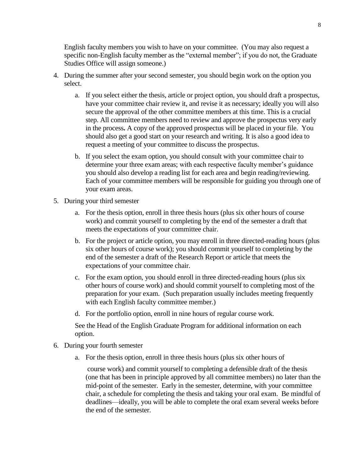English faculty members you wish to have on your committee. (You may also request a specific non-English faculty member as the "external member"; if you do not, the Graduate Studies Office will assign someone.)

- 4. During the summer after your second semester, you should begin work on the option you select.
	- a. If you select either the thesis, article or project option, you should draft a prospectus, have your committee chair review it, and revise it as necessary; ideally you will also secure the approval of the other committee members at this time. This is a crucial step. All committee members need to review and approve the prospectus very early in the process**.** A copy of the approved prospectus will be placed in your file. You should also get a good start on your research and writing. It is also a good idea to request a meeting of your committee to discuss the prospectus.
	- b. If you select the exam option, you should consult with your committee chair to determine your three exam areas; with each respective faculty member's guidance you should also develop a reading list for each area and begin reading/reviewing. Each of your committee members will be responsible for guiding you through one of your exam areas.
- 5. During your third semester
	- a. For the thesis option, enroll in three thesis hours (plus six other hours of course work) and commit yourself to completing by the end of the semester a draft that meets the expectations of your committee chair.
	- b. For the project or article option, you may enroll in three directed-reading hours (plus six other hours of course work); you should commit yourself to completing by the end of the semester a draft of the Research Report or article that meets the expectations of your committee chair.
	- c. For the exam option, you should enroll in three directed-reading hours (plus six other hours of course work) and should commit yourself to completing most of the preparation for your exam. (Such preparation usually includes meeting frequently with each English faculty committee member.)
	- d. For the portfolio option, enroll in nine hours of regular course work.

See the Head of the English Graduate Program for additional information on each option.

- 6. During your fourth semester
	- a. For the thesis option, enroll in three thesis hours (plus six other hours of

course work) and commit yourself to completing a defensible draft of the thesis (one that has been in principle approved by all committee members) no later than the mid-point of the semester. Early in the semester, determine, with your committee chair, a schedule for completing the thesis and taking your oral exam. Be mindful of deadlines—ideally, you will be able to complete the oral exam several weeks before the end of the semester.